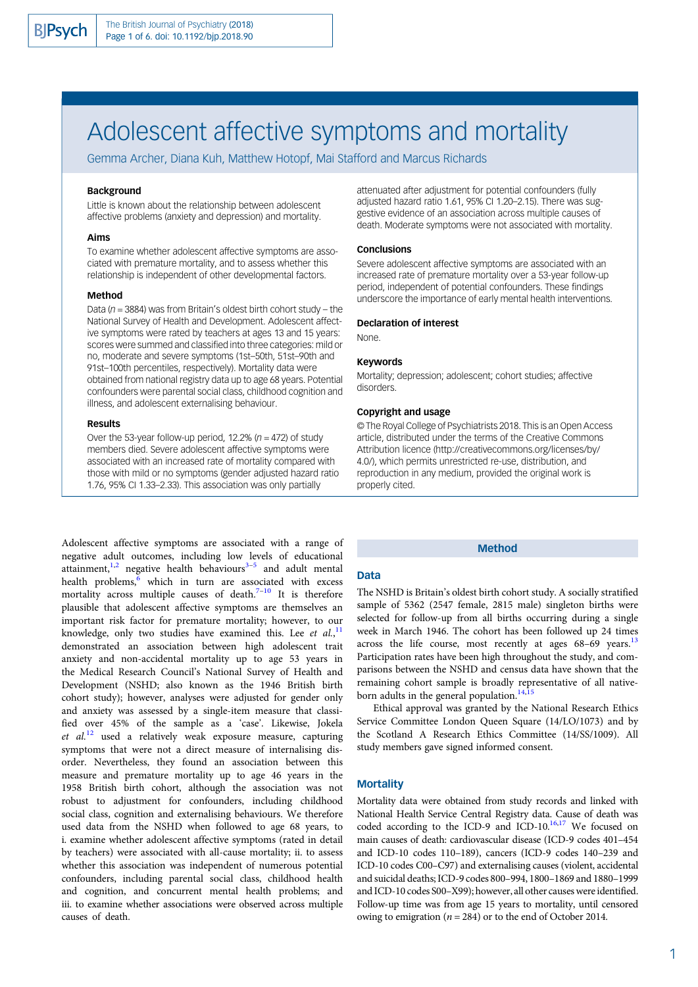# Adolescent affective symptoms and mortality

Gemma Archer, Diana Kuh, Matthew Hotopf, Mai Stafford and Marcus Richards

# **Background**

Little is known about the relationship between adolescent affective problems (anxiety and depression) and mortality.

#### Aims

To examine whether adolescent affective symptoms are associated with premature mortality, and to assess whether this relationship is independent of other developmental factors.

#### Method

Data ( $n = 3884$ ) was from Britain's oldest birth cohort study – the National Survey of Health and Development. Adolescent affective symptoms were rated by teachers at ages 13 and 15 years: scores were summed and classified into three categories: mild or no, moderate and severe symptoms (1st–50th, 51st–90th and 91st–100th percentiles, respectively). Mortality data were obtained from national registry data up to age 68 years. Potential confounders were parental social class, childhood cognition and illness, and adolescent externalising behaviour.

#### Results

Over the 53-year follow-up period, 12.2% ( $n = 472$ ) of study members died. Severe adolescent affective symptoms were associated with an increased rate of mortality compared with those with mild or no symptoms (gender adjusted hazard ratio 1.76, 95% CI 1.33–2.33). This association was only partially

Adolescent affective symptoms are associated with a range of negative adult outcomes, including low levels of educational attainment,<sup>[1,2](#page-4-0)</sup> negative health behaviours<sup>[3](#page-4-0)-[5](#page-5-0)</sup> and adult mental health problems,<sup>6</sup> which in turn are associated with excess mortality across multiple causes of death. $7-10$  $7-10$  $7-10$  It is therefore plausible that adolescent affective symptoms are themselves an important risk factor for premature mortality; however, to our knowledge, only two studies have examined this. Lee et  $al$ ,  $l_1$ demonstrated an association between high adolescent trait anxiety and non-accidental mortality up to age 53 years in the Medical Research Council's National Survey of Health and Development (NSHD; also known as the 1946 British birth cohort study); however, analyses were adjusted for gender only and anxiety was assessed by a single-item measure that classified over 45% of the sample as a 'case'. Likewise, Jokela et  $al^{12}$  $al^{12}$  $al^{12}$  used a relatively weak exposure measure, capturing symptoms that were not a direct measure of internalising disorder. Nevertheless, they found an association between this measure and premature mortality up to age 46 years in the 1958 British birth cohort, although the association was not robust to adjustment for confounders, including childhood social class, cognition and externalising behaviours. We therefore used data from the NSHD when followed to age 68 years, to i. examine whether adolescent affective symptoms (rated in detail by teachers) were associated with all-cause mortality; ii. to assess whether this association was independent of numerous potential confounders, including parental social class, childhood health and cognition, and concurrent mental health problems; and iii. to examine whether associations were observed across multiple causes of death.

attenuated after adjustment for potential confounders (fully adjusted hazard ratio 1.61, 95% CI 1.20–2.15). There was suggestive evidence of an association across multiple causes of death. Moderate symptoms were not associated with mortality.

## **Conclusions**

Severe adolescent affective symptoms are associated with an increased rate of premature mortality over a 53-year follow-up period, independent of potential confounders. These findings underscore the importance of early mental health interventions.

#### Declaration of interest

None.

#### Keywords

Mortality; depression; adolescent; cohort studies; affective disorders.

#### Copyright and usage

© The Royal College of Psychiatrists 2018. This is an Open Access article, distributed under the terms of the Creative Commons Attribution licence (http://creativecommons.org/licenses/by/ 4.0/), which permits unrestricted re-use, distribution, and reproduction in any medium, provided the original work is properly cited.

#### Method

# Data

The NSHD is Britain's oldest birth cohort study. A socially stratified sample of 5362 (2547 female, 2815 male) singleton births were selected for follow-up from all births occurring during a single week in March 1946. The cohort has been followed up 24 times across the life course, most recently at ages 68-69 years.<sup>[13](#page-5-0)</sup> Participation rates have been high throughout the study, and comparisons between the NSHD and census data have shown that the remaining cohort sample is broadly representative of all nativeborn adults in the general population.<sup>14,15</sup>

Ethical approval was granted by the National Research Ethics Service Committee London Queen Square (14/LO/1073) and by the Scotland A Research Ethics Committee (14/SS/1009). All study members gave signed informed consent.

## **Mortality**

Mortality data were obtained from study records and linked with National Health Service Central Registry data. Cause of death was coded according to the ICD-9 and ICD-10.<sup>[16](#page-5-0),[17](#page-5-0)</sup> We focused on main causes of death: cardiovascular disease (ICD-9 codes 401–454 and ICD-10 codes 110–189), cancers (ICD-9 codes 140–239 and ICD-10 codes C00–C97) and externalising causes (violent, accidental and suicidal deaths; ICD-9 codes 800–994, 1800–1869 and 1880–1999 and ICD-10 codes S00–X99); however, all other causes were identified. Follow-up time was from age 15 years to mortality, until censored owing to emigration ( $n = 284$ ) or to the end of October 2014.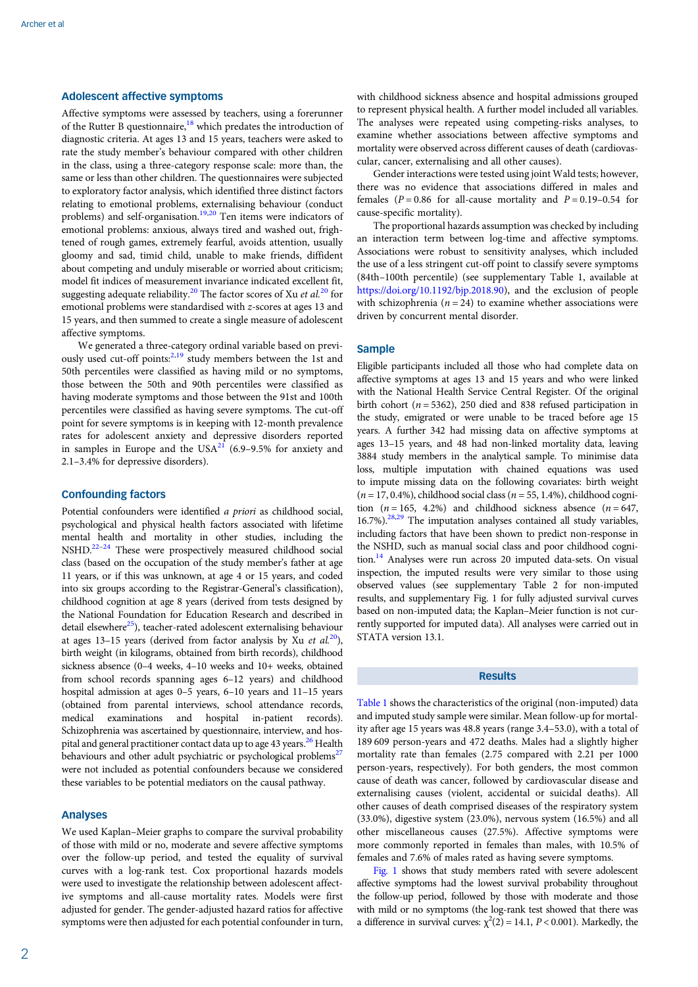# Adolescent affective symptoms

Affective symptoms were assessed by teachers, using a forerunner of the Rutter B questionnaire,  $^{18}$  $^{18}$  $^{18}$  which predates the introduction of diagnostic criteria. At ages 13 and 15 years, teachers were asked to rate the study member's behaviour compared with other children in the class, using a three-category response scale: more than, the same or less than other children. The questionnaires were subjected to exploratory factor analysis, which identified three distinct factors relating to emotional problems, externalising behaviour (conduct problems) and self-organisation.[19,20](#page-5-0) Ten items were indicators of emotional problems: anxious, always tired and washed out, frightened of rough games, extremely fearful, avoids attention, usually gloomy and sad, timid child, unable to make friends, diffident about competing and unduly miserable or worried about criticism; model fit indices of measurement invariance indicated excellent fit, suggesting adequate reliability.<sup>[20](#page-5-0)</sup> The factor scores of Xu et  $al$ <sup>20</sup> for emotional problems were standardised with z-scores at ages 13 and 15 years, and then summed to create a single measure of adolescent affective symptoms.

We generated a three-category ordinal variable based on previ-ously used cut-off points:<sup>2,[19](#page-5-0)</sup> study members between the 1st and 50th percentiles were classified as having mild or no symptoms, those between the 50th and 90th percentiles were classified as having moderate symptoms and those between the 91st and 100th percentiles were classified as having severe symptoms. The cut-off point for severe symptoms is in keeping with 12-month prevalence rates for adolescent anxiety and depressive disorders reported in samples in Europe and the USA $^{21}$  $^{21}$  $^{21}$  (6.9–9.5% for anxiety and 2.1–3.4% for depressive disorders).

# Confounding factors

Potential confounders were identified a priori as childhood social, psychological and physical health factors associated with lifetime mental health and mortality in other studies, including the NSHD.<sup>22-[24](#page-5-0)</sup> These were prospectively measured childhood social class (based on the occupation of the study member's father at age 11 years, or if this was unknown, at age 4 or 15 years, and coded into six groups according to the Registrar-General's classification), childhood cognition at age 8 years (derived from tests designed by the National Foundation for Education Research and described in detail elsewhere $^{25}$ ), teacher-rated adolescent externalising behaviour at ages 13–15 years (derived from factor analysis by Xu et  $al^{20}$ ), birth weight (in kilograms, obtained from birth records), childhood sickness absence (0–4 weeks, 4–10 weeks and 10+ weeks, obtained from school records spanning ages 6–12 years) and childhood hospital admission at ages 0–5 years, 6–10 years and 11–15 years (obtained from parental interviews, school attendance records, medical examinations and hospital in-patient records). Schizophrenia was ascertained by questionnaire, interview, and hos-pital and general practitioner contact data up to age 43 years.<sup>[26](#page-5-0)</sup> Health behaviours and other adult psychiatric or psychological problems<sup>27</sup> were not included as potential confounders because we considered these variables to be potential mediators on the causal pathway.

# Analyses

We used Kaplan–Meier graphs to compare the survival probability of those with mild or no, moderate and severe affective symptoms over the follow-up period, and tested the equality of survival curves with a log-rank test. Cox proportional hazards models were used to investigate the relationship between adolescent affective symptoms and all-cause mortality rates. Models were first adjusted for gender. The gender-adjusted hazard ratios for affective symptoms were then adjusted for each potential confounder in turn,

with childhood sickness absence and hospital admissions grouped to represent physical health. A further model included all variables. The analyses were repeated using competing-risks analyses, to examine whether associations between affective symptoms and mortality were observed across different causes of death (cardiovascular, cancer, externalising and all other causes).

Gender interactions were tested using joint Wald tests; however, there was no evidence that associations differed in males and females ( $P = 0.86$  for all-cause mortality and  $P = 0.19 - 0.54$  for cause-specific mortality).

The proportional hazards assumption was checked by including an interaction term between log-time and affective symptoms. Associations were robust to sensitivity analyses, which included the use of a less stringent cut-off point to classify severe symptoms (84th–100th percentile) (see supplementary Table 1, available at [https://doi.org/10.1192/bjp.2018.90\)](https://doi.org/10.1192/bjp.2018.90), and the exclusion of people with schizophrenia ( $n = 24$ ) to examine whether associations were driven by concurrent mental disorder.

## Sample

Eligible participants included all those who had complete data on affective symptoms at ages 13 and 15 years and who were linked with the National Health Service Central Register. Of the original birth cohort ( $n = 5362$ ), 250 died and 838 refused participation in the study, emigrated or were unable to be traced before age 15 years. A further 342 had missing data on affective symptoms at ages 13–15 years, and 48 had non-linked mortality data, leaving 3884 study members in the analytical sample. To minimise data loss, multiple imputation with chained equations was used to impute missing data on the following covariates: birth weight  $(n = 17, 0.4\%)$ , childhood social class  $(n = 55, 1.4\%)$ , childhood cognition ( $n = 165$ , 4.2%) and childhood sickness absence ( $n = 647$ ,  $16.7\%$ ).<sup>[28,29](#page-5-0)</sup> The imputation analyses contained all study variables, including factors that have been shown to predict non-response in the NSHD, such as manual social class and poor childhood cognition.<sup>14</sup> Analyses were run across 20 imputed data-sets. On visual inspection, the imputed results were very similar to those using observed values (see supplementary Table 2 for non-imputed results, and supplementary Fig. 1 for fully adjusted survival curves based on non-imputed data; the Kaplan–Meier function is not currently supported for imputed data). All analyses were carried out in STATA version 13.1.

# Results

[Table 1](#page-2-0) shows the characteristics of the original (non-imputed) data and imputed study sample were similar. Mean follow-up for mortality after age 15 years was 48.8 years (range 3.4–53.0), with a total of 189 609 person-years and 472 deaths. Males had a slightly higher mortality rate than females (2.75 compared with 2.21 per 1000 person-years, respectively). For both genders, the most common cause of death was cancer, followed by cardiovascular disease and externalising causes (violent, accidental or suicidal deaths). All other causes of death comprised diseases of the respiratory system (33.0%), digestive system (23.0%), nervous system (16.5%) and all other miscellaneous causes (27.5%). Affective symptoms were more commonly reported in females than males, with 10.5% of females and 7.6% of males rated as having severe symptoms.

[Fig. 1](#page-2-0) shows that study members rated with severe adolescent affective symptoms had the lowest survival probability throughout the follow-up period, followed by those with moderate and those with mild or no symptoms (the log-rank test showed that there was a difference in survival curves:  $\chi^2(2) = 14.1$ ,  $P < 0.001$ ). Markedly, the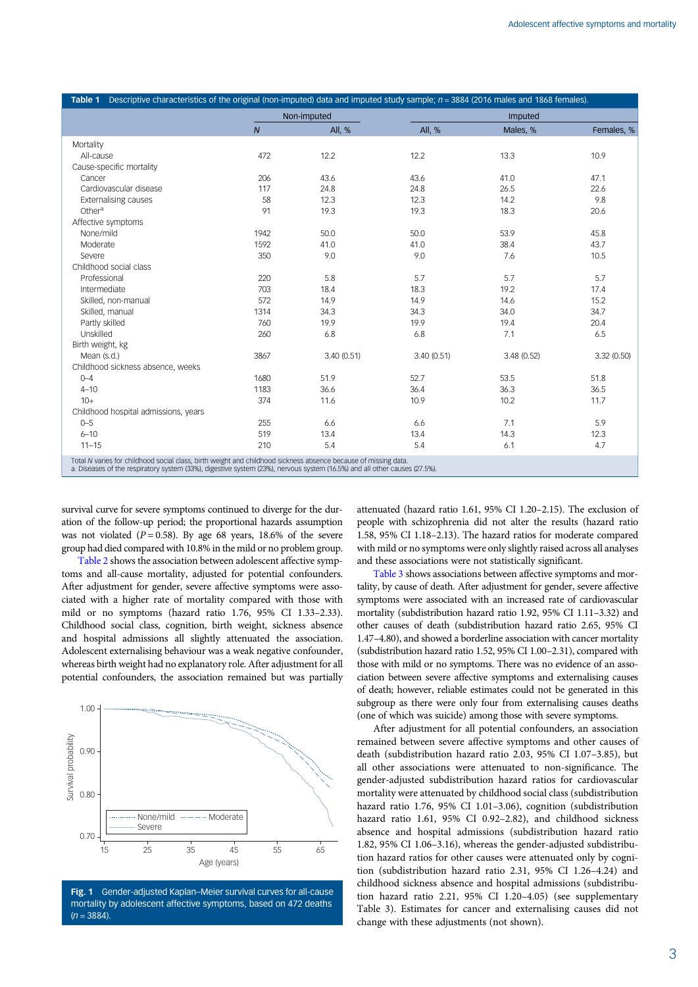<span id="page-2-0"></span>

|                                      |                | Non-imputed |            | Imputed    |             |  |
|--------------------------------------|----------------|-------------|------------|------------|-------------|--|
|                                      | $\overline{N}$ | All, %      | All, %     | Males, %   | Females, %  |  |
| Mortality                            |                |             |            |            |             |  |
| All-cause                            | 472            | 12.2        | 12.2       | 13.3       | 10.9        |  |
| Cause-specific mortality             |                |             |            |            |             |  |
| Cancer                               | 206            | 43.6        | 43.6       | 41.0       | 47.1        |  |
| Cardiovascular disease               | 117            | 24.8        | 24.8       | 26.5       | 22.6        |  |
| <b>Externalising causes</b>          | 58             | 12.3        | 12.3       | 14.2       | 9.8         |  |
| Other <sup>a</sup>                   | 91             | 19.3        | 19.3       | 18.3       | 20.6        |  |
| Affective symptoms                   |                |             |            |            |             |  |
| None/mild                            | 1942           | 50.0        | 50.0       | 53.9       | 45.8        |  |
| Moderate                             | 1592           | 41.0        | 41.0       | 38.4       | 43.7        |  |
| Severe                               | 350            | 9.0         | 9.0        | 7.6        | 10.5        |  |
| Childhood social class               |                |             |            |            |             |  |
| Professional                         | 220            | 5.8         | 5.7        | 5.7        | 5.7         |  |
| Intermediate                         | 703            | 18.4        | 18.3       | 19.2       | 17.4        |  |
| Skilled, non-manual                  | 572            | 14.9        | 14.9       | 14.6       | 15.2        |  |
| Skilled, manual                      | 1314           | 34.3        | 34.3       | 34.0       | 34.7        |  |
| Partly skilled                       | 760            | 19.9        | 19.9       | 19.4       | 20.4        |  |
| Unskilled                            | 260            | 6.8         | 6.8        | 7.1        | 6.5         |  |
| Birth weight, kg                     |                |             |            |            |             |  |
| Mean (s.d.)                          | 3867           | 3.40(0.51)  | 3.40(0.51) | 3.48(0.52) | 3.32 (0.50) |  |
| Childhood sickness absence, weeks    |                |             |            |            |             |  |
| $0 - 4$                              | 1680           | 51.9        | 52.7       | 53.5       | 51.8        |  |
| $4 - 10$                             | 1183           | 36.6        | 36.4       | 36.3       | 36.5        |  |
| $10+$                                | 374            | 11.6        | 10.9       | 10.2       | 11.7        |  |
| Childhood hospital admissions, years |                |             |            |            |             |  |
| $0 - 5$                              | 255            | 6.6         | 6.6        | 7.1        | 5.9         |  |
| $6 - 10$                             | 519            | 13.4        | 13.4       | 14.3       | 12.3        |  |
| $11 - 15$                            | 210            | 5.4         | 5.4        | 6.1        | 4.7         |  |

survival curve for severe symptoms continued to diverge for the duration of the follow-up period; the proportional hazards assumption was not violated ( $P = 0.58$ ). By age 68 years, 18.6% of the severe group had died compared with 10.8% in the mild or no problem group.

[Table 2](#page-3-0) shows the association between adolescent affective symptoms and all-cause mortality, adjusted for potential confounders. After adjustment for gender, severe affective symptoms were associated with a higher rate of mortality compared with those with mild or no symptoms (hazard ratio 1.76, 95% CI 1.33–2.33). Childhood social class, cognition, birth weight, sickness absence and hospital admissions all slightly attenuated the association. Adolescent externalising behaviour was a weak negative confounder, whereas birth weight had no explanatory role. After adjustment for all potential confounders, the association remained but was partially



Fig. 1 Gender-adjusted Kaplan–Meier survival curves for all-cause mortality by adolescent affective symptoms, based on 472 deaths  $(n = 3884)$ 

attenuated (hazard ratio 1.61, 95% CI 1.20–2.15). The exclusion of people with schizophrenia did not alter the results (hazard ratio 1.58, 95% CI 1.18–2.13). The hazard ratios for moderate compared with mild or no symptoms were only slightly raised across all analyses and these associations were not statistically significant.

[Table 3](#page-3-0) shows associations between affective symptoms and mortality, by cause of death. After adjustment for gender, severe affective symptoms were associated with an increased rate of cardiovascular mortality (subdistribution hazard ratio 1.92, 95% CI 1.11–3.32) and other causes of death (subdistribution hazard ratio 2.65, 95% CI 1.47–4.80), and showed a borderline association with cancer mortality (subdistribution hazard ratio 1.52, 95% CI 1.00–2.31), compared with those with mild or no symptoms. There was no evidence of an association between severe affective symptoms and externalising causes of death; however, reliable estimates could not be generated in this subgroup as there were only four from externalising causes deaths (one of which was suicide) among those with severe symptoms.

After adjustment for all potential confounders, an association remained between severe affective symptoms and other causes of death (subdistribution hazard ratio 2.03, 95% CI 1.07–3.85), but all other associations were attenuated to non-significance. The gender-adjusted subdistribution hazard ratios for cardiovascular mortality were attenuated by childhood social class (subdistribution hazard ratio 1.76, 95% CI 1.01–3.06), cognition (subdistribution hazard ratio 1.61, 95% CI 0.92–2.82), and childhood sickness absence and hospital admissions (subdistribution hazard ratio 1.82, 95% CI 1.06–3.16), whereas the gender-adjusted subdistribution hazard ratios for other causes were attenuated only by cognition (subdistribution hazard ratio 2.31, 95% CI 1.26–4.24) and childhood sickness absence and hospital admissions (subdistribution hazard ratio 2.21, 95% CI 1.20–4.05) (see supplementary Table 3). Estimates for cancer and externalising causes did not change with these adjustments (not shown).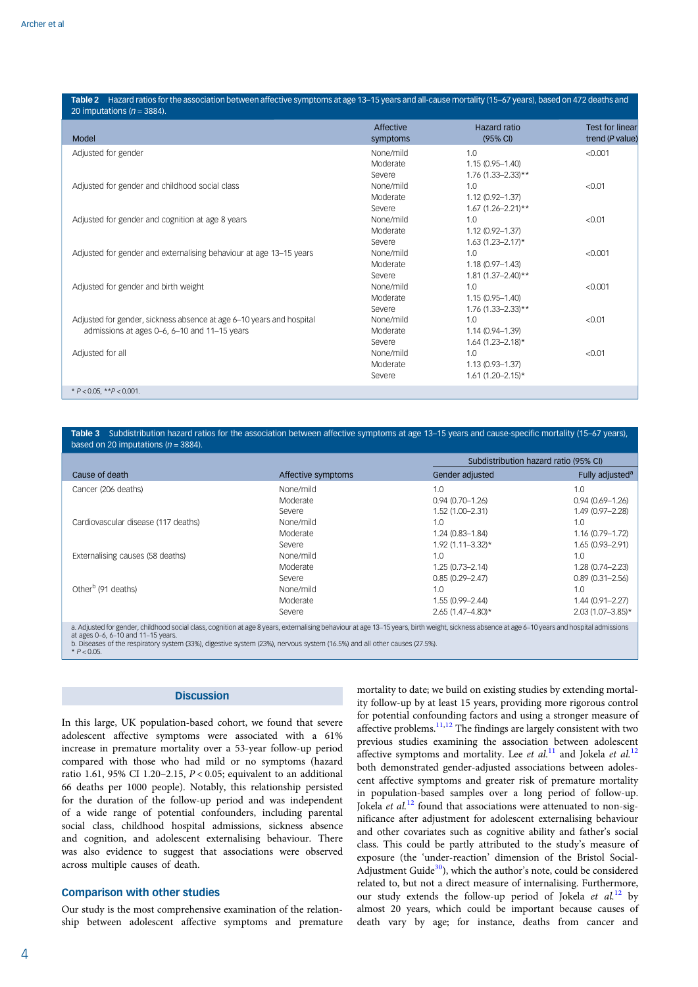<span id="page-3-0"></span>

| 20 imputations ( $n = 3884$ ).                                       | Affective | Hazard ratio          | <b>Test for linear</b> |
|----------------------------------------------------------------------|-----------|-----------------------|------------------------|
| Model                                                                | symptoms  | (95% CI)              | trend (P value)        |
| Adjusted for gender                                                  | None/mild | 1.0                   | < 0.001                |
|                                                                      | Moderate  | $1.15(0.95 - 1.40)$   |                        |
|                                                                      | Severe    | 1.76 (1.33-2.33)**    |                        |
| Adjusted for gender and childhood social class                       | None/mild | 1.0                   | < 0.01                 |
|                                                                      | Moderate  | 1.12 (0.92-1.37)      |                        |
|                                                                      | Severe    | $1.67(1.26 - 2.21**$  |                        |
| Adjusted for gender and cognition at age 8 years                     | None/mild | 1.0                   | < 0.01                 |
|                                                                      | Moderate  | 1.12 (0.92-1.37)      |                        |
|                                                                      | Severe    | $1.63(1.23 - 2.17)*$  |                        |
| Adjusted for gender and externalising behaviour at age 13-15 years   | None/mild | 1.0                   | < 0.001                |
|                                                                      | Moderate  | $1.18(0.97 - 1.43)$   |                        |
|                                                                      | Severe    | $1.81(1.37 - 2.40)**$ |                        |
| Adjusted for gender and birth weight                                 | None/mild | 1.0                   | < 0.001                |
|                                                                      | Moderate  | $1.15(0.95 - 1.40)$   |                        |
|                                                                      | Severe    | $1.76$ (1.33-2.33)**  |                        |
| Adjusted for gender, sickness absence at age 6-10 years and hospital | None/mild | 1.0                   | < 0.01                 |
| admissions at ages 0–6, 6–10 and 11–15 years                         | Moderate  | $1.14(0.94 - 1.39)$   |                        |
|                                                                      | Severe    | $1.64$ (1.23-2.18)*   |                        |
| Adjusted for all                                                     | None/mild | 1.0                   | < 0.01                 |
|                                                                      | Moderate  | $1.13(0.93 - 1.37)$   |                        |
|                                                                      | Severe    | $1.61(1.20 - 2.15)^*$ |                        |
| * $P < 0.05$ , ** $P < 0.001$ .                                      |           |                       |                        |

#### Table 3 Subdistribution hazard ratios for the association between affective symptoms at age 13-15 years and cause-specific mortality (15-67 years), based on 20 imputations  $(n = 3884)$ .

|                                                                                                                                                                                                                                                                                                                                                                   |                    |                       | Subdistribution hazard ratio (95% CI) |  |  |
|-------------------------------------------------------------------------------------------------------------------------------------------------------------------------------------------------------------------------------------------------------------------------------------------------------------------------------------------------------------------|--------------------|-----------------------|---------------------------------------|--|--|
| Cause of death                                                                                                                                                                                                                                                                                                                                                    | Affective symptoms | Gender adjusted       | Fully adjusted <sup>a</sup>           |  |  |
| Cancer (206 deaths)                                                                                                                                                                                                                                                                                                                                               | None/mild          | 1.0                   | 1.0                                   |  |  |
|                                                                                                                                                                                                                                                                                                                                                                   | Moderate           | $0.94(0.70 - 1.26)$   | $0.94(0.69 - 1.26)$                   |  |  |
|                                                                                                                                                                                                                                                                                                                                                                   | Severe             | $1.52(1.00 - 2.31)$   | 1.49 (0.97-2.28)                      |  |  |
| Cardiovascular disease (117 deaths)                                                                                                                                                                                                                                                                                                                               | None/mild          | 1.0                   | 1.0                                   |  |  |
|                                                                                                                                                                                                                                                                                                                                                                   | Moderate           | 1.24 (0.83-1.84)      | 1.16 (0.79-1.72)                      |  |  |
|                                                                                                                                                                                                                                                                                                                                                                   | Severe             | $1.92(1.11 - 3.32)$ * | $1.65(0.93 - 2.91)$                   |  |  |
| Externalising causes (58 deaths)                                                                                                                                                                                                                                                                                                                                  | None/mild          | 1.0                   | 1.0                                   |  |  |
|                                                                                                                                                                                                                                                                                                                                                                   | Moderate           | $1.25(0.73 - 2.14)$   | $1.28(0.74 - 2.23)$                   |  |  |
|                                                                                                                                                                                                                                                                                                                                                                   | Severe             | $0.85(0.29 - 2.47)$   | $0.89(0.31 - 2.56)$                   |  |  |
| Other <sup>b</sup> (91 deaths)                                                                                                                                                                                                                                                                                                                                    | None/mild          | 1.0                   | 1.0                                   |  |  |
|                                                                                                                                                                                                                                                                                                                                                                   | Moderate           | 1.55 (0.99-2.44)      | 1.44 (0.91-2.27)                      |  |  |
|                                                                                                                                                                                                                                                                                                                                                                   | Severe             | $2.65(1.47 - 4.80)$ * | $2.03(1.07 - 3.85)^*$                 |  |  |
| a. Adjusted for gender, childhood social class, cognition at age 8 years, externalising behaviour at age 13-15 years, birth weight, sickness absence at age 6-10 years and hospital admissions<br>at ages 0-6, 6-10 and 11-15 years.<br>b. Diseases of the respiratory system (33%), digestive system (23%), nervous system (16.5%) and all other causes (27.5%). |                    |                       |                                       |  |  |

 $* P < 0.05$ 

# **Discussion**

In this large, UK population-based cohort, we found that severe adolescent affective symptoms were associated with a 61% increase in premature mortality over a 53-year follow-up period compared with those who had mild or no symptoms (hazard ratio 1.61, 95% CI 1.20-2.15,  $P < 0.05$ ; equivalent to an additional 66 deaths per 1000 people). Notably, this relationship persisted for the duration of the follow-up period and was independent of a wide range of potential confounders, including parental social class, childhood hospital admissions, sickness absence and cognition, and adolescent externalising behaviour. There was also evidence to suggest that associations were observed across multiple causes of death.

# Comparison with other studies

Our study is the most comprehensive examination of the relationship between adolescent affective symptoms and premature mortality to date; we build on existing studies by extending mortality follow-up by at least 15 years, providing more rigorous control for potential confounding factors and using a stronger measure of affective problems.<sup>[11](#page-5-0),[12](#page-5-0)</sup> The findings are largely consistent with two previous studies examining the association between adolescent affective symptoms and mortality. Lee et al.<sup>[11](#page-5-0)</sup> and Jokela et al.<sup>[12](#page-5-0)</sup> both demonstrated gender-adjusted associations between adolescent affective symptoms and greater risk of premature mortality in population-based samples over a long period of follow-up. Jokela *et al.*<sup>[12](#page-5-0)</sup> found that associations were attenuated to non-significance after adjustment for adolescent externalising behaviour and other covariates such as cognitive ability and father's social class. This could be partly attributed to the study's measure of exposure (the 'under-reaction' dimension of the Bristol Social-Adjustment Guide $30$ , which the author's note, could be considered related to, but not a direct measure of internalising. Furthermore, our study extends the follow-up period of Jokela et al.<sup>[12](#page-5-0)</sup> by almost 20 years, which could be important because causes of death vary by age; for instance, deaths from cancer and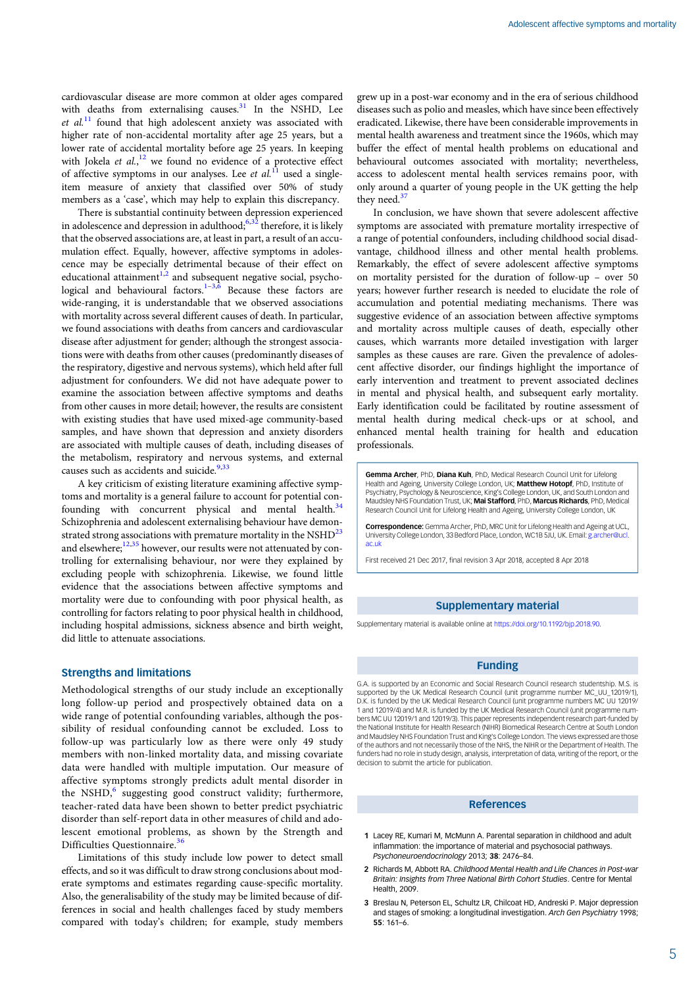<span id="page-4-0"></span>cardiovascular disease are more common at older ages compared with deaths from externalising causes.<sup>[31](#page-5-0)</sup> In the NSHD, Lee  $et al.<sup>11</sup>$  $et al.<sup>11</sup>$  $et al.<sup>11</sup>$  found that high adolescent anxiety was associated with higher rate of non-accidental mortality after age 25 years, but a lower rate of accidental mortality before age 25 years. In keeping with Jokela et  $al$ ,  $l^2$  we found no evidence of a protective effect of affective symptoms in our analyses. Lee et  $al$ <sup>[11](#page-5-0)</sup> used a singleitem measure of anxiety that classified over 50% of study members as a 'case', which may help to explain this discrepancy.

There is substantial continuity between depression experienced in adolescence and depression in adulthood; $6,32$  therefore, it is likely that the observed associations are, at least in part, a result of an accumulation effect. Equally, however, affective symptoms in adolescence may be especially detrimental because of their effect on educational attainment<sup>1,2</sup> and subsequent negative social, psycho-logical and behavioural factors.<sup>1–3[,6](#page-5-0)</sup> Because these factors are wide-ranging, it is understandable that we observed associations with mortality across several different causes of death. In particular, we found associations with deaths from cancers and cardiovascular disease after adjustment for gender; although the strongest associations were with deaths from other causes (predominantly diseases of the respiratory, digestive and nervous systems), which held after full adjustment for confounders. We did not have adequate power to examine the association between affective symptoms and deaths from other causes in more detail; however, the results are consistent with existing studies that have used mixed-age community-based samples, and have shown that depression and anxiety disorders are associated with multiple causes of death, including diseases of the metabolism, respiratory and nervous systems, and external causes such as accidents and suicide. $9,33$  $9,33$  $9,33$ 

A key criticism of existing literature examining affective symptoms and mortality is a general failure to account for potential confounding with concurrent physical and mental health. $34$ Schizophrenia and adolescent externalising behaviour have demonstrated strong associations with premature mortality in the  $\text{NSHD}^{23}$ and elsewhere;<sup>[12,35](#page-5-0)</sup> however, our results were not attenuated by controlling for externalising behaviour, nor were they explained by excluding people with schizophrenia. Likewise, we found little evidence that the associations between affective symptoms and mortality were due to confounding with poor physical health, as controlling for factors relating to poor physical health in childhood, including hospital admissions, sickness absence and birth weight, did little to attenuate associations.

# Strengths and limitations

Methodological strengths of our study include an exceptionally long follow-up period and prospectively obtained data on a wide range of potential confounding variables, although the possibility of residual confounding cannot be excluded. Loss to follow-up was particularly low as there were only 49 study members with non-linked mortality data, and missing covariate data were handled with multiple imputation. Our measure of affective symptoms strongly predicts adult mental disorder in the NSHD, $6$  suggesting good construct validity; furthermore, teacher-rated data have been shown to better predict psychiatric disorder than self-report data in other measures of child and adolescent emotional problems, as shown by the Strength and Difficulties Questionnaire.<sup>[36](#page-5-0)</sup>

Limitations of this study include low power to detect small effects, and so it was difficult to draw strong conclusions about moderate symptoms and estimates regarding cause-specific mortality. Also, the generalisability of the study may be limited because of differences in social and health challenges faced by study members compared with today's children; for example, study members

grew up in a post-war economy and in the era of serious childhood diseases such as polio and measles, which have since been effectively eradicated. Likewise, there have been considerable improvements in mental health awareness and treatment since the 1960s, which may buffer the effect of mental health problems on educational and behavioural outcomes associated with mortality; nevertheless, access to adolescent mental health services remains poor, with only around a quarter of young people in the UK getting the help they need.<sup>[37](#page-5-0)</sup>

In conclusion, we have shown that severe adolescent affective symptoms are associated with premature mortality irrespective of a range of potential confounders, including childhood social disadvantage, childhood illness and other mental health problems. Remarkably, the effect of severe adolescent affective symptoms on mortality persisted for the duration of follow-up – over 50 years; however further research is needed to elucidate the role of accumulation and potential mediating mechanisms. There was suggestive evidence of an association between affective symptoms and mortality across multiple causes of death, especially other causes, which warrants more detailed investigation with larger samples as these causes are rare. Given the prevalence of adolescent affective disorder, our findings highlight the importance of early intervention and treatment to prevent associated declines in mental and physical health, and subsequent early mortality. Early identification could be facilitated by routine assessment of mental health during medical check-ups or at school, and enhanced mental health training for health and education professionals.

Gemma Archer, PhD, Diana Kuh, PhD, Medical Research Council Unit for Lifelong Health and Ageing, University College London, UK; Matthew Hotopf, PhD, Institute of Psychiatry, Psychology & Neuroscience, King's College London, UK, and South London and Maudsley NHS Foundation Trust, UK; Mai Stafford, PhD, Marcus Richards, PhD, Medical Research Council Unit for Lifelong Health and Ageing, University College London, UK

Correspondence: Gemma Archer, PhD, MRC Unit for Lifelong Health and Ageing at UCL, University College London, 33 Bedford Place, London, WC1B 5JU, UK. Email: [g.archer@ucl.](mailto:g.archer@ucl.ac.uk) [ac.uk](mailto:g.archer@ucl.ac.uk)

First received 21 Dec 2017, final revision 3 Apr 2018, accepted 8 Apr 2018

## Supplementary material

Supplementary material is available online at <https://doi.org/10.1192/bjp.2018.90>.

#### Funding

G.A. is supported by an Economic and Social Research Council research studentship. M.S. is supported by the UK Medical Research Council (unit programme number MC\_UU\_12019/1) D.K. is funded by the UK Medical Research Council (unit programme numbers MC UU 12019/ 1 and 12019/4) and M.R. is funded by the UK Medical Research Council (unit programme numbers MC UU 12019/1 and 12019/3). This paper represents independent research part-funded by the National Institute for Health Research (NIHR) Biomedical Research Centre at South London and Maudsley NHS Foundation Trust and King's College London. The views expressed are those of the authors and not necessarily those of the NHS, the NIHR or the Department of Health. The funders had no role in study design, analysis, interpretation of data, writing of the report, or the decision to submit the article for publication.

## References

- 1 Lacey RE, Kumari M, McMunn A. Parental separation in childhood and adult inflammation: the importance of material and psychosocial pathways. Psychoneuroendocrinology 2013; 38: 2476–84.
- 2 Richards M, Abbott RA, Childhood Mental Health and Life Chances in Post-war Britain: Insights from Three National Birth Cohort Studies. Centre for Mental Health, 2009.
- 3 Breslau N, Peterson EL, Schultz LR, Chilcoat HD, Andreski P, Major depression and stages of smoking: a longitudinal investigation. Arch Gen Psychiatry 1998; 55: 161–6.